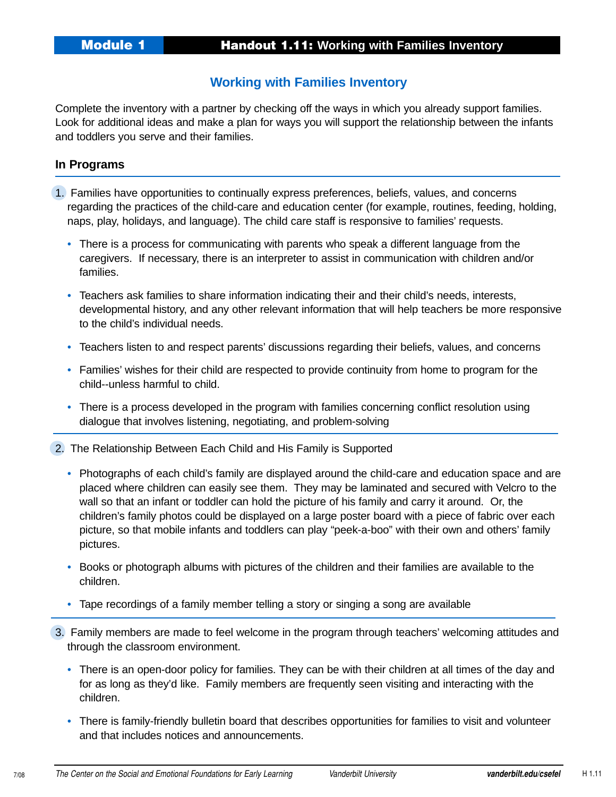## **Working with Families Inventory**

Complete the inventory with a partner by checking off the ways in which you already support families. Look for additional ideas and make a plan for ways you will support the relationship between the infants and toddlers you serve and their families.

## **In Programs**

- 1. Families have opportunities to continually express preferences, beliefs, values, and concerns regarding the practices of the child-care and education center (for example, routines, feeding, holding, naps, play, holidays, and language). The child care staff is responsive to families' requests.
	- There is a process for communicating with parents who speak a different language from the caregivers. If necessary, there is an interpreter to assist in communication with children and/or families.
	- Teachers ask families to share information indicating their and their child's needs, interests, developmental history, and any other relevant information that will help teachers be more responsive to the child's individual needs.
	- Teachers listen to and respect parents' discussions regarding their beliefs, values, and concerns
	- Families' wishes for their child are respected to provide continuity from home to program for the child--unless harmful to child.
	- There is a process developed in the program with families concerning conflict resolution using dialogue that involves listening, negotiating, and problem-solving
- 2. The Relationship Between Each Child and His Family is Supported
	- Photographs of each child's family are displayed around the child-care and education space and are placed where children can easily see them. They may be laminated and secured with Velcro to the wall so that an infant or toddler can hold the picture of his family and carry it around. Or, the children's family photos could be displayed on a large poster board with a piece of fabric over each picture, so that mobile infants and toddlers can play "peek-a-boo" with their own and others' family pictures.
	- Books or photograph albums with pictures of the children and their families are available to the children.
	- Tape recordings of a family member telling a story or singing a song are available
- 3. Family members are made to feel welcome in the program through teachers' welcoming attitudes and through the classroom environment.
	- There is an open-door policy for families. They can be with their children at all times of the day and for as long as they'd like. Family members are frequently seen visiting and interacting with the children.
	- There is family-friendly bulletin board that describes opportunities for families to visit and volunteer and that includes notices and announcements.